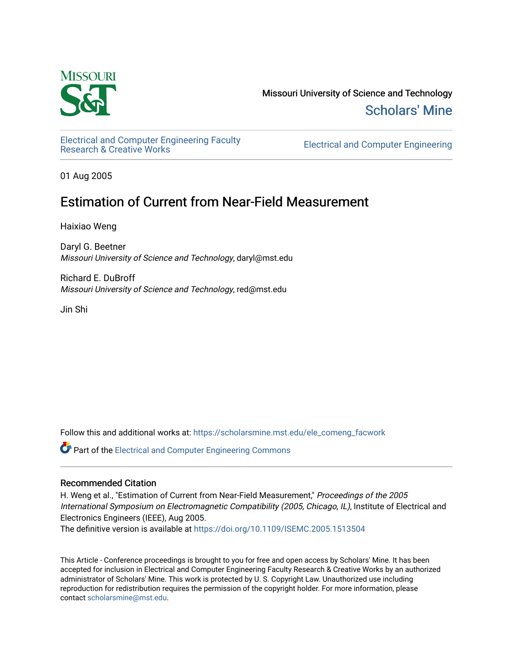

Missouri University of Science and Technology [Scholars' Mine](https://scholarsmine.mst.edu/) 

[Electrical and Computer Engineering Faculty](https://scholarsmine.mst.edu/ele_comeng_facwork)

**Electrical and Computer Engineering** 

01 Aug 2005

# Estimation of Current from Near-Field Measurement

Haixiao Weng

Daryl G. Beetner Missouri University of Science and Technology, daryl@mst.edu

Richard E. DuBroff Missouri University of Science and Technology, red@mst.edu

Jin Shi

Follow this and additional works at: [https://scholarsmine.mst.edu/ele\\_comeng\\_facwork](https://scholarsmine.mst.edu/ele_comeng_facwork?utm_source=scholarsmine.mst.edu%2Fele_comeng_facwork%2F1602&utm_medium=PDF&utm_campaign=PDFCoverPages)

**C** Part of the Electrical and Computer Engineering Commons

# Recommended Citation

H. Weng et al., "Estimation of Current from Near-Field Measurement," Proceedings of the 2005 International Symposium on Electromagnetic Compatibility (2005, Chicago, IL), Institute of Electrical and Electronics Engineers (IEEE), Aug 2005.

The definitive version is available at <https://doi.org/10.1109/ISEMC.2005.1513504>

This Article - Conference proceedings is brought to you for free and open access by Scholars' Mine. It has been accepted for inclusion in Electrical and Computer Engineering Faculty Research & Creative Works by an authorized administrator of Scholars' Mine. This work is protected by U. S. Copyright Law. Unauthorized use including reproduction for redistribution requires the permission of the copyright holder. For more information, please contact [scholarsmine@mst.edu](mailto:scholarsmine@mst.edu).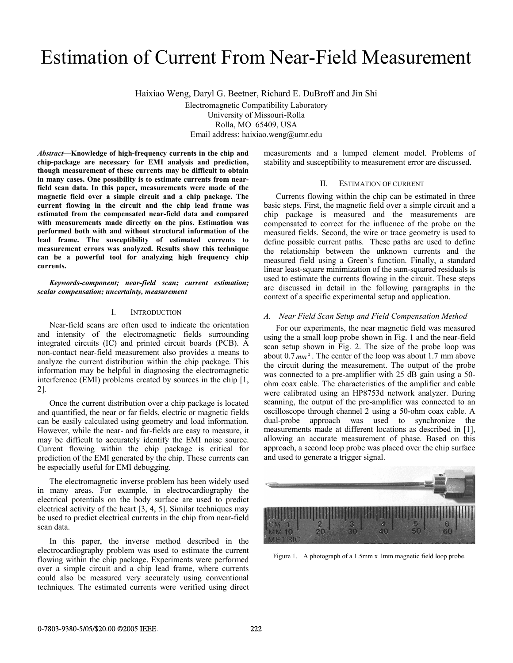# Estimation of Current From Near-Field Measurement

Haixiao Weng, Daryl G. Beetner, Richard E. DuBroff and Jin Shi Electromagnetic Compatibility Laboratory University of Missouri-Rolla Rolla, MO 65409, USA Email address: haixiao.weng@umr.edu

*Abstract***—Knowledge of high-frequency currents in the chip and chip-package are necessary for EMI analysis and prediction, though measurement of these currents may be difficult to obtain in many cases. One possibility is to estimate currents from nearfield scan data. In this paper, measurements were made of the magnetic field over a simple circuit and a chip package. The current flowing in the circuit and the chip lead frame was estimated from the compensated near-field data and compared with measurements made directly on the pins. Estimation was performed both with and without structural information of the lead frame. The susceptibility of estimated currents to measurement errors was analyzed. Results show this technique can be a powerful tool for analyzing high frequency chip currents.** 

*Keywords-component; near-field scan; current estimation; scalar compensation; uncertainty, measurement* 

# I. INTRODUCTION

Near-field scans are often used to indicate the orientation and intensity of the electromagnetic fields surrounding integrated circuits (IC) and printed circuit boards (PCB). A non-contact near-field measurement also provides a means to analyze the current distribution within the chip package. This information may be helpful in diagnosing the electromagnetic interference (EMI) problems created by sources in the chip [1, 2].

Once the current distribution over a chip package is located and quantified, the near or far fields, electric or magnetic fields can be easily calculated using geometry and load information. However, while the near- and far-fields are easy to measure, it may be difficult to accurately identify the EMI noise source. Current flowing within the chip package is critical for prediction of the EMI generated by the chip. These currents can be especially useful for EMI debugging.

The electromagnetic inverse problem has been widely used in many areas. For example, in electrocardiography the electrical potentials on the body surface are used to predict electrical activity of the heart [3, 4, 5]. Similar techniques may be used to predict electrical currents in the chip from near-field scan data.

In this paper, the inverse method described in the electrocardiography problem was used to estimate the current flowing within the chip package. Experiments were performed over a simple circuit and a chip lead frame, where currents could also be measured very accurately using conventional techniques. The estimated currents were verified using direct measurements and a lumped element model. Problems of stability and susceptibility to measurement error are discussed.

#### II. ESTIMATION OF CURRENT

Currents flowing within the chip can be estimated in three basic steps. First, the magnetic field over a simple circuit and a chip package is measured and the measurements are compensated to correct for the influence of the probe on the measured fields. Second, the wire or trace geometry is used to define possible current paths. These paths are used to define the relationship between the unknown currents and the measured field using a Green's function. Finally, a standard linear least-square minimization of the sum-squared residuals is used to estimate the currents flowing in the circuit. These steps are discussed in detail in the following paragraphs in the context of a specific experimental setup and application.

#### *A. Near Field Scan Setup and Field Compensation Method*

For our experiments, the near magnetic field was measured using the a small loop probe shown in Fig. 1 and the near-field scan setup shown in Fig. 2. The size of the probe loop was about  $0.7 \text{ mm}^2$ . The center of the loop was about 1.7 mm above the circuit during the measurement. The output of the probe was connected to a pre-amplifier with 25 dB gain using a 50ohm coax cable. The characteristics of the amplifier and cable were calibrated using an HP8753d network analyzer. During scanning, the output of the pre-amplifier was connected to an oscilloscope through channel 2 using a 50-ohm coax cable. A dual-probe approach was used to synchronize the measurements made at different locations as described in [1], allowing an accurate measurement of phase. Based on this approach, a second loop probe was placed over the chip surface and used to generate a trigger signal.



Figure 1. A photograph of a 1.5mm x 1mm magnetic field loop probe.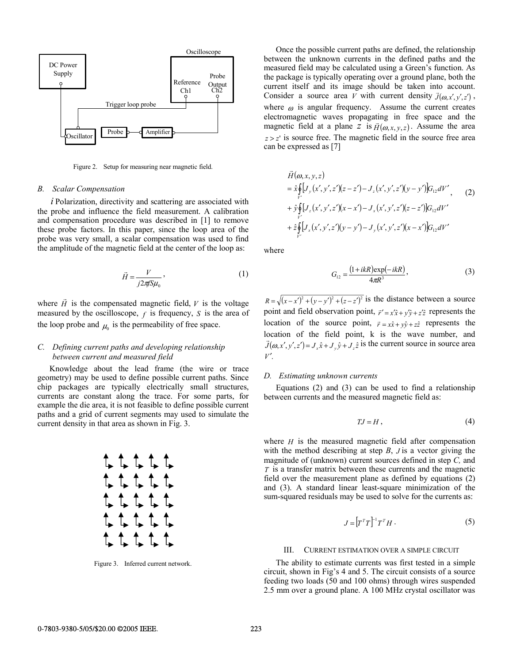

Figure 2. Setup for measuring near magnetic field.

#### *B. Scalar Compensation*

*i* Polarization, directivity and scattering are associated with the probe and influence the field measurement. A calibration and compensation procedure was described in [1] to remove these probe factors. In this paper, since the loop area of the probe was very small, a scalar compensation was used to find the amplitude of the magnetic field at the center of the loop as:

$$
\vec{H} = \frac{V}{j2\pi S \mu_0},\tag{1}
$$

where  $\vec{H}$  is the compensated magnetic field,  $V$  is the voltage measured by the oscilloscope,  $f$  is frequency,  $S$  is the area of the loop probe and  $\mu_0$  is the permeability of free space.

# *C. Defining current paths and developing relationship between current and measured field*

Knowledge about the lead frame (the wire or trace geometry) may be used to define possible current paths. Since chip packages are typically electrically small structures, currents are constant along the trace. For some parts, for example the die area, it is not feasible to define possible current paths and a grid of current segments may used to simulate the current density in that area as shown in Fig. 3.



Figure 3. Inferred current network.

Once the possible current paths are defined, the relationship between the unknown currents in the defined paths and the measured field may be calculated using a Green's function. As the package is typically operating over a ground plane, both the current itself and its image should be taken into account. Consider a source area *V* with current density  $\vec{J}(\omega, x', y', z')$ , where  $\omega$  is angular frequency. Assume the current creates electromagnetic waves propagating in free space and the magnetic field at a plane *z* is  $\vec{H}(\omega, x, y, z)$ . Assume the area  $z \geq z'$  is source free. The magnetic field in the source free area can be expressed as [7]

$$
\vec{H}(\omega, x, y, z) \n= \hat{x} \oint_{V'} [J_{y}(x', y', z')(z - z') - J_{z}(x', y', z')(y - y')] G_{12} dV',
$$
\n
$$
+ \hat{y} \oint_{V'} [J_{z}(x', y', z')(x - x') - J_{x}(x', y', z')(z - z')] G_{12} dV' \n+ \hat{z} \oint_{V'} [J_{x}(x', y', z')(y - y') - J_{y}(x', y', z')(x - x')] G_{12} dV'
$$
\n(2)

where

$$
G_{12} = \frac{(1 + ikR)\exp(-ikR)}{4\pi R^3},
$$
 (3)

 $R = \sqrt{(x-x')^2 + (y-y')^2 + (z-z')^2}$  is the distance between a source point and field observation point,  $\vec{r}' = x'\hat{x} + y'\hat{y} + z'\hat{z}$  represents the location of the source point,  $\vec{r} = x\hat{x} + y\hat{y} + z\hat{z}$  represents the location of the field point, k is the wave number, and  $\vec{J}(\omega, x', y', z') = J_x \hat{x} + J_y \hat{y} + J_z \hat{z}$  is the current source in source area *V* ′.

# *D. Estimating unknown currents*

Equations (2) and (3) can be used to find a relationship between currents and the measured magnetic field as:

$$
TJ = H, \tag{4}
$$

where *H* is the measured magnetic field after compensation with the method describing at step *B*, *J* is a vector giving the magnitude of (unknown) current sources defined in step *C,* and *T* is a transfer matrix between these currents and the magnetic field over the measurement plane as defined by equations (2) and (3). A standard linear least-square minimization of the sum-squared residuals may be used to solve for the currents as:

$$
J = \left[ T^T T \right]^{-1} T^T H \,. \tag{5}
$$

#### III. CURRENT ESTIMATION OVER A SIMPLE CIRCUIT

The ability to estimate currents was first tested in a simple circuit, shown in Fig's 4 and 5. The circuit consists of a source feeding two loads (50 and 100 ohms) through wires suspended 2.5 mm over a ground plane. A 100 MHz crystal oscillator was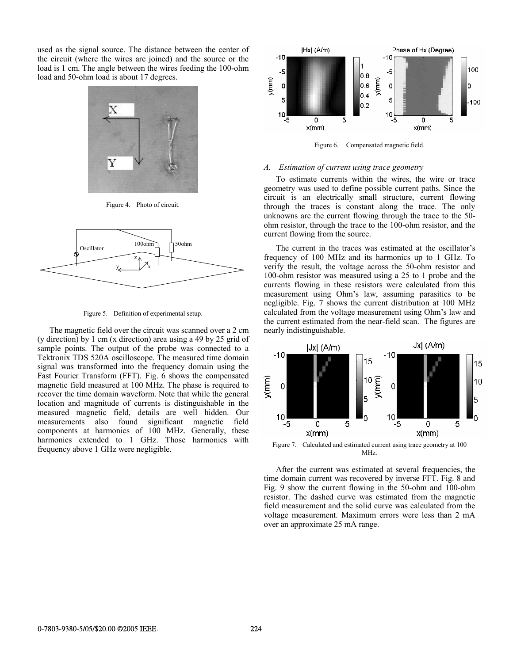used as the signal source. The distance between the center of the circuit (where the wires are joined) and the source or the load is 1 cm. The angle between the wires feeding the 100-ohm load and 50-ohm load is about 17 degrees.



Figure 4. Photo of circuit.



Figure 5. Definition of experimental setup.

The magnetic field over the circuit was scanned over a 2 cm (y direction) by 1 cm (x direction) area using a 49 by 25 grid of sample points. The output of the probe was connected to a Tektronix TDS 520A oscilloscope. The measured time domain signal was transformed into the frequency domain using the Fast Fourier Transform (FFT). Fig. 6 shows the compensated magnetic field measured at 100 MHz. The phase is required to recover the time domain waveform. Note that while the general location and magnitude of currents is distinguishable in the measured magnetic field, details are well hidden. Our measurements also found significant magnetic field components at harmonics of 100 MHz. Generally, these harmonics extended to 1 GHz. Those harmonics with frequency above 1 GHz were negligible.



Figure 6. Compensated magnetic field.

#### *A. Estimation of current using trace geometry*

To estimate currents within the wires, the wire or trace geometry was used to define possible current paths. Since the circuit is an electrically small structure, current flowing through the traces is constant along the trace. The only unknowns are the current flowing through the trace to the 50 ohm resistor, through the trace to the 100-ohm resistor, and the current flowing from the source.

The current in the traces was estimated at the oscillator's frequency of 100 MHz and its harmonics up to 1 GHz. To verify the result, the voltage across the 50-ohm resistor and 100-ohm resistor was measured using a 25 to 1 probe and the currents flowing in these resistors were calculated from this measurement using Ohm's law, assuming parasitics to be negligible. Fig. 7 shows the current distribution at 100 MHz calculated from the voltage measurement using Ohm's law and the current estimated from the near-field scan. The figures are nearly indistinguishable.



MHz.

After the current was estimated at several frequencies, the time domain current was recovered by inverse FFT. Fig. 8 and Fig. 9 show the current flowing in the 50-ohm and 100-ohm resistor. The dashed curve was estimated from the magnetic field measurement and the solid curve was calculated from the voltage measurement. Maximum errors were less than 2 mA over an approximate 25 mA range.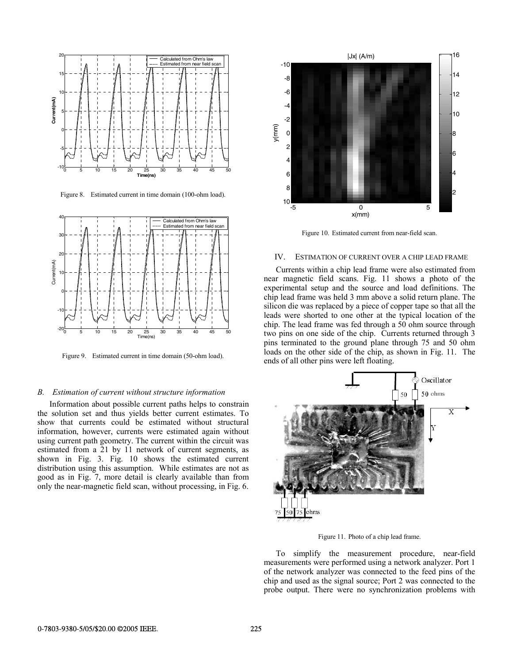

Figure 8. Estimated current in time domain (100-ohm load).



Figure 9. Estimated current in time domain (50-ohm load).

#### *B. Estimation of current without structure information*

Information about possible current paths helps to constrain the solution set and thus yields better current estimates. To show that currents could be estimated without structural information, however, currents were estimated again without using current path geometry. The current within the circuit was estimated from a 21 by 11 network of current segments, as shown in Fig. 3. Fig. 10 shows the estimated current distribution using this assumption. While estimates are not as good as in Fig. 7, more detail is clearly available than from only the near-magnetic field scan, without processing, in Fig. 6.



Figure 10. Estimated current from near-field scan.

# IV. ESTIMATION OF CURRENT OVER A CHIP LEAD FRAME

Currents within a chip lead frame were also estimated from near magnetic field scans. Fig. 11 shows a photo of the experimental setup and the source and load definitions. The chip lead frame was held 3 mm above a solid return plane. The silicon die was replaced by a piece of copper tape so that all the leads were shorted to one other at the typical location of the chip. The lead frame was fed through a 50 ohm source through two pins on one side of the chip. Currents returned through 3 pins terminated to the ground plane through 75 and 50 ohm loads on the other side of the chip, as shown in Fig. 11. The ends of all other pins were left floating.



Figure 11. Photo of a chip lead frame.

To simplify the measurement procedure, near-field measurements were performed using a network analyzer. Port 1 of the network analyzer was connected to the feed pins of the chip and used as the signal source; Port 2 was connected to the probe output. There were no synchronization problems with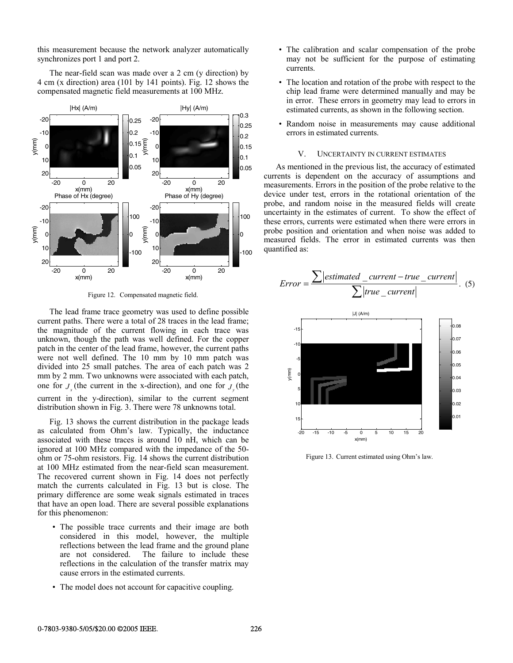this measurement because the network analyzer automatically synchronizes port 1 and port 2.

The near-field scan was made over a 2 cm (y direction) by 4 cm (x direction) area (101 by 141 points). Fig. 12 shows the compensated magnetic field measurements at 100 MHz.



Figure 12. Compensated magnetic field.

The lead frame trace geometry was used to define possible current paths. There were a total of 28 traces in the lead frame; the magnitude of the current flowing in each trace was unknown, though the path was well defined. For the copper patch in the center of the lead frame, however, the current paths were not well defined. The 10 mm by 10 mm patch was divided into 25 small patches. The area of each patch was 2 mm by 2 mm. Two unknowns were associated with each patch, one for  $J_{\nu}$  (the current in the x-direction), and one for  $J_{\nu}$  (the current in the y-direction), similar to the current segment distribution shown in Fig. 3. There were 78 unknowns total.

Fig. 13 shows the current distribution in the package leads as calculated from Ohm's law. Typically, the inductance associated with these traces is around 10 nH, which can be ignored at 100 MHz compared with the impedance of the 50 ohm or 75-ohm resistors. Fig. 14 shows the current distribution at 100 MHz estimated from the near-field scan measurement. The recovered current shown in Fig. 14 does not perfectly match the currents calculated in Fig. 13 but is close. The primary difference are some weak signals estimated in traces that have an open load. There are several possible explanations for this phenomenon:

- The possible trace currents and their image are both considered in this model, however, the multiple reflections between the lead frame and the ground plane are not considered. The failure to include these reflections in the calculation of the transfer matrix may cause errors in the estimated currents.
- The model does not account for capacitive coupling.
- The calibration and scalar compensation of the probe may not be sufficient for the purpose of estimating currents.
- The location and rotation of the probe with respect to the chip lead frame were determined manually and may be in error. These errors in geometry may lead to errors in estimated currents, as shown in the following section.
- Random noise in measurements may cause additional errors in estimated currents.

## V. UNCERTAINTY IN CURRENT ESTIMATES

As mentioned in the previous list, the accuracy of estimated currents is dependent on the accuracy of assumptions and measurements. Errors in the position of the probe relative to the device under test, errors in the rotational orientation of the probe, and random noise in the measured fields will create uncertainty in the estimates of current. To show the effect of these errors, currents were estimated when there were errors in probe position and orientation and when noise was added to measured fields. The error in estimated currents was then quantified as:

$$
Error = \frac{\sum |estimated\_current - true\_current|}{\sum |true\_current|}.
$$
 (5)



Figure 13. Current estimated using Ohm's law.